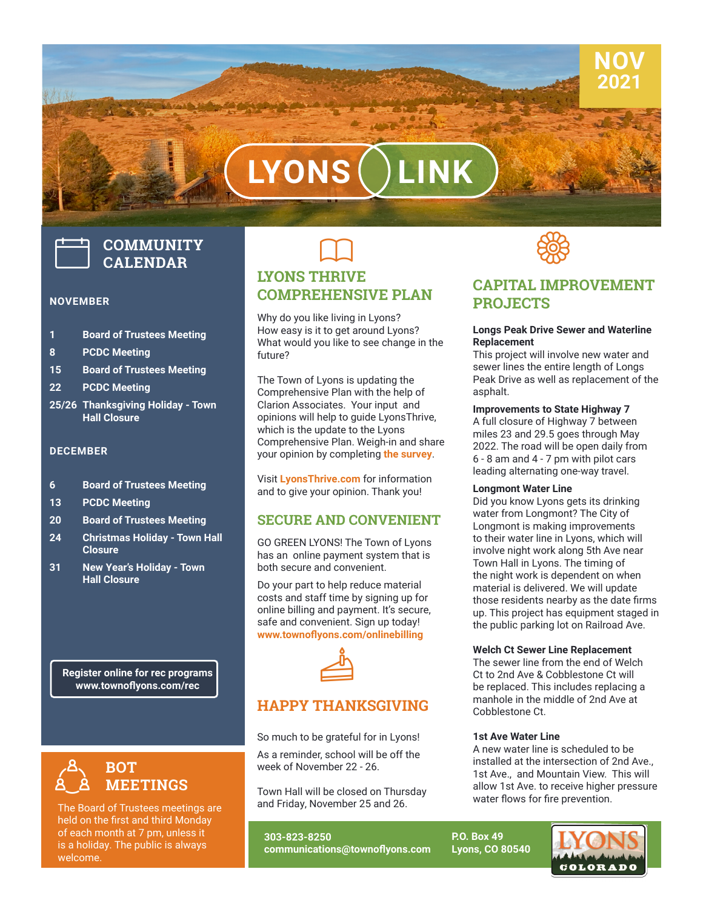# LYONS

# **COMMUNITY CALENDAR**

#### **NOVEMBER**

- **1 Board of Trustees Meeting**
- **8 PCDC Meeting**
- **15 Board of Trustees Meeting**
- **22 PCDC Meeting**
- **25/26 Thanksgiving Holiday Town Hall Closure**

#### **DECEMBER**

- **6 Board of Trustees Meeting**
- **13 PCDC Meeting**
- **20 Board of Trustees Meeting**
- **24 Christmas Holiday Town Hall Closure**
- **31 New Year's Holiday Town Hall Closure**

**Register online for rec programs www.townoflyons.com/rec**



The Board of Trustees meetings are held on the first and third Monday of each month at 7 pm, unless it is a holiday. The public is always welcome.

# $\Box$ **LYONS THRIVE COMPREHENSIVE PLAN**

Why do you like living in Lyons? How easy is it to get around Lyons? What would you like to see change in the future?

The Town of Lyons is updating the Comprehensive Plan with the help of Clarion Associates. Your input and opinions will help to guide LyonsThrive, which is the update to the Lyons Comprehensive Plan. Weigh-in and share your opinion by completing **the survey**.

Visit **LyonsThrive.com** for information and to give your opinion. Thank you!

#### **SECURE AND CONVENIENT**

GO GREEN LYONS! The Town of Lyons has an online payment system that is both secure and convenient.

Do your part to help reduce material costs and staff time by signing up for online billing and payment. It's secure, safe and convenient. Sign up today! **www.townoflyons.com/onlinebilling**



# **HAPPY THANKSGIVING**

So much to be grateful for in Lyons!

As a reminder, school will be off the week of November 22 - 26.

Town Hall will be closed on Thursday and Friday, November 25 and 26.

**303-823-8250 communications@townoflyons.com**



# **CAPITAL IMPROVEMENT PROJECTS**

**NOV 2021**

#### **Longs Peak Drive Sewer and Waterline Replacement**

This project will involve new water and sewer lines the entire length of Longs Peak Drive as well as replacement of the asphalt.

#### **Improvements to State Highway 7**

A full closure of Highway 7 between miles 23 and 29.5 goes through May 2022. The road will be open daily from 6 - 8 am and 4 - 7 pm with pilot cars leading alternating one-way travel.

#### **Longmont Water Line**

Did you know Lyons gets its drinking water from Longmont? The City of Longmont is making improvements to their water line in Lyons, which will involve night work along 5th Ave near Town Hall in Lyons. The timing of the night work is dependent on when material is delivered. We will update those residents nearby as the date firms up. This project has equipment staged in the public parking lot on Railroad Ave.

#### **Welch Ct Sewer Line Replacement**

The sewer line from the end of Welch Ct to 2nd Ave & Cobblestone Ct will be replaced. This includes replacing a manhole in the middle of 2nd Ave at Cobblestone Ct.

#### **1st Ave Water Line**

A new water line is scheduled to be installed at the intersection of 2nd Ave., 1st Ave., and Mountain View. This will allow 1st Ave. to receive higher pressure water flows for fire prevention.

**P.O. Box 49 Lyons, CO 80540**